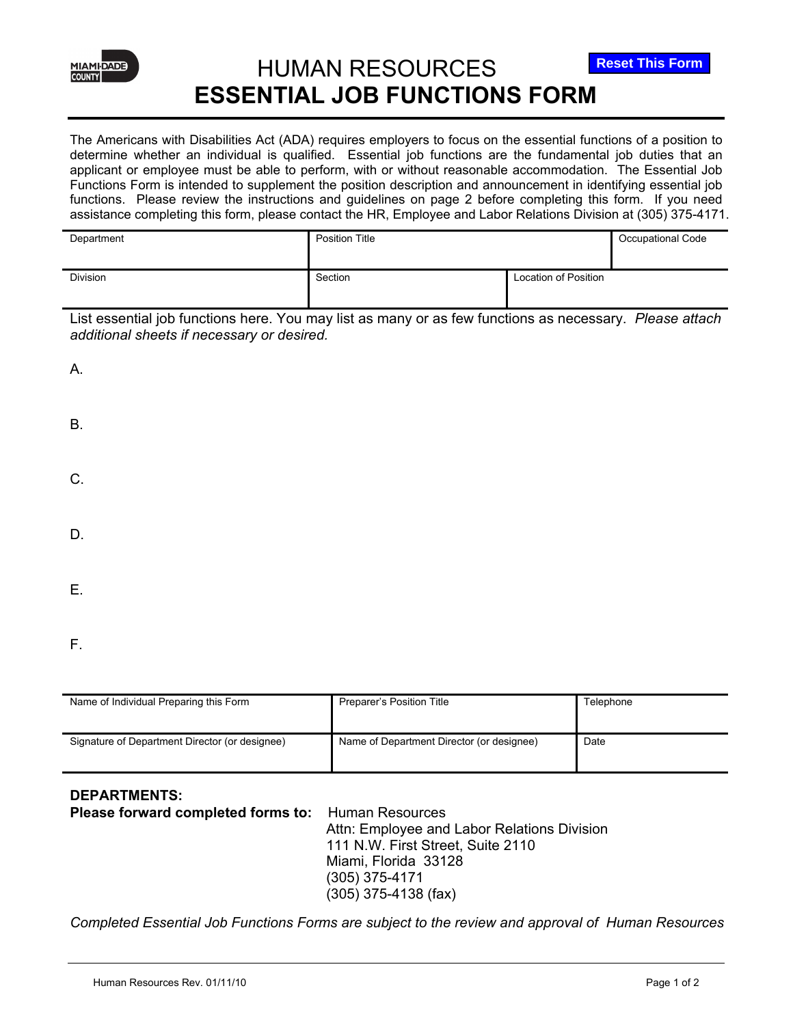

## HUMAN RESOURCES **ESSENTIAL JOB FUNCTIONS FORM**

The Americans with Disabilities Act (ADA) requires employers to focus on the essential functions of a position to determine whether an individual is qualified. Essential job functions are the fundamental job duties that an applicant or employee must be able to perform, with or without reasonable accommodation. The Essential Job Functions Form is intended to supplement the position description and announcement in identifying essential job functions. Please review the instructions and guidelines on page 2 before completing this form. If you need assistance completing this form, please contact the HR, Employee and Labor Relations Division at (305) 375-4171.

| Department      | <b>Position Title</b> |                             | Occupational Code |
|-----------------|-----------------------|-----------------------------|-------------------|
| <b>Division</b> | Section               | <b>Location of Position</b> |                   |

List essential job functions here. You may list as many or as few functions as necessary. *Please attach additional sheets if necessary or desired.* 

| А. |  |  |
|----|--|--|
| В. |  |  |
| C. |  |  |
| D. |  |  |
| Е. |  |  |

F.

| Name of Individual Preparing this Form         | Preparer's Position Title                 | Telephone |
|------------------------------------------------|-------------------------------------------|-----------|
| Signature of Department Director (or designee) | Name of Department Director (or designee) | Date      |

## **DEPARTMENTS:**

**Please forward completed forms to:** Human Resources Attn: Employee and Labor Relations Division 111 N.W. First Street, Suite 2110 Miami, Florida 33128 (305) 375-4171 (305) 375-4138 (fax)

*Completed Essential Job Functions Forms are subject to the review and approval of Human Resources*

**Reset This Form**